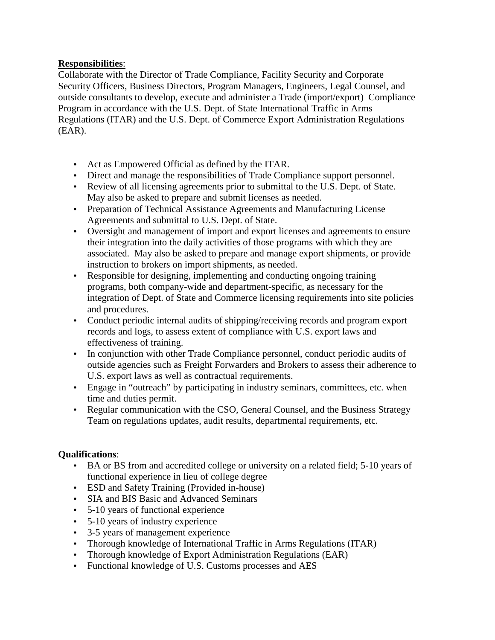## **Responsibilities**:

Collaborate with the Director of Trade Compliance, Facility Security and Corporate Security Officers, Business Directors, Program Managers, Engineers, Legal Counsel, and outside consultants to develop, execute and administer a Trade (import/export) Compliance Program in accordance with the U.S. Dept. of State International Traffic in Arms Regulations (ITAR) and the U.S. Dept. of Commerce Export Administration Regulations (EAR).

- Act as Empowered Official as defined by the ITAR.
- Direct and manage the responsibilities of Trade Compliance support personnel.
- Review of all licensing agreements prior to submittal to the U.S. Dept. of State. May also be asked to prepare and submit licenses as needed.
- Preparation of Technical Assistance Agreements and Manufacturing License Agreements and submittal to U.S. Dept. of State.
- Oversight and management of import and export licenses and agreements to ensure their integration into the daily activities of those programs with which they are associated. May also be asked to prepare and manage export shipments, or provide instruction to brokers on import shipments, as needed.
- Responsible for designing, implementing and conducting ongoing training programs, both company-wide and department-specific, as necessary for the integration of Dept. of State and Commerce licensing requirements into site policies and procedures.
- Conduct periodic internal audits of shipping/receiving records and program export records and logs, to assess extent of compliance with U.S. export laws and effectiveness of training.
- In conjunction with other Trade Compliance personnel, conduct periodic audits of outside agencies such as Freight Forwarders and Brokers to assess their adherence to U.S. export laws as well as contractual requirements.
- Engage in "outreach" by participating in industry seminars, committees, etc. when time and duties permit.
- Regular communication with the CSO, General Counsel, and the Business Strategy Team on regulations updates, audit results, departmental requirements, etc.

## **Qualifications**:

- BA or BS from and accredited college or university on a related field; 5-10 years of functional experience in lieu of college degree
- ESD and Safety Training (Provided in-house)
- SIA and BIS Basic and Advanced Seminars
- 5-10 years of functional experience
- 5-10 years of industry experience
- 3-5 years of management experience
- Thorough knowledge of International Traffic in Arms Regulations (ITAR)
- Thorough knowledge of Export Administration Regulations (EAR)
- Functional knowledge of U.S. Customs processes and AES